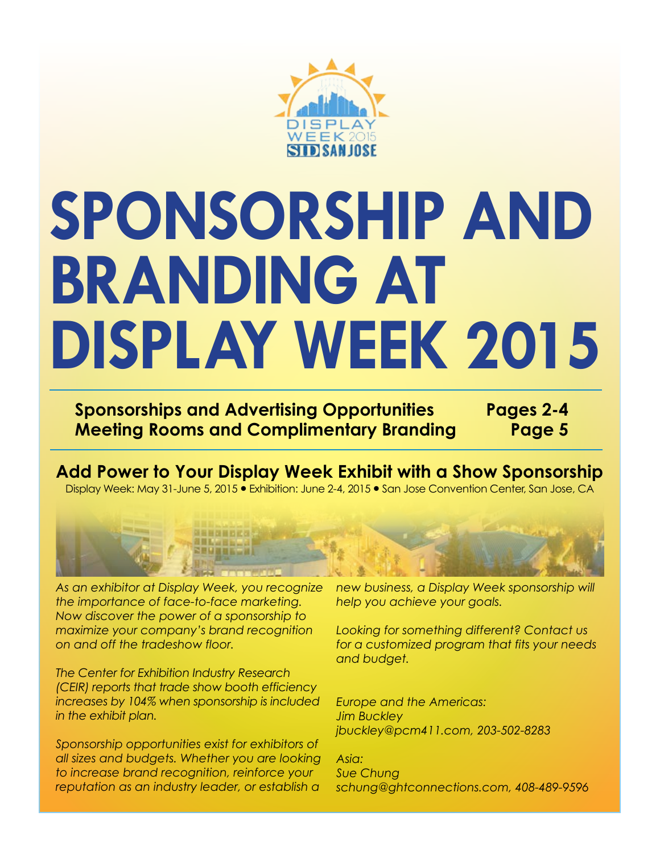

# **SPONSORSHIP AND BRANDING AT DISPLAY WEEK 2015**

**Sponsorships and Advertising Opportunities Pages 2-4 Meeting Rooms and Complimentary Branding Page 5**

**Add Power to Your Display Week Exhibit with a Show Sponsorship** Display Week: May 31-June 5, 2015 **�** Exhibition: June 2-4, 2015 **�** San Jose Convention Center, San Jose, CA



*As an exhibitor at Display Week, you recognize the importance of face-to-face marketing. Now discover the power of a sponsorship to maximize your company's brand recognition on and off the tradeshow floor.* 

*The Center for Exhibition Industry Research (CEIR) reports that trade show booth efficiency increases by 104% when sponsorship is included in the exhibit plan.*

*Sponsorship opportunities exist for exhibitors of all sizes and budgets. Whether you are looking to increase brand recognition, reinforce your reputation as an industry leader, or establish a* 

*new business, a Display Week sponsorship will help you achieve your goals.* 

*Looking for something different? Contact us for a customized program that fits your needs and budget.* 

*Europe and the Americas: Jim Buckley jbuckley@pcm411.com, 203-502-8283*

*Asia: Sue Chung schung@ghtconnections.com, 408-489-9596*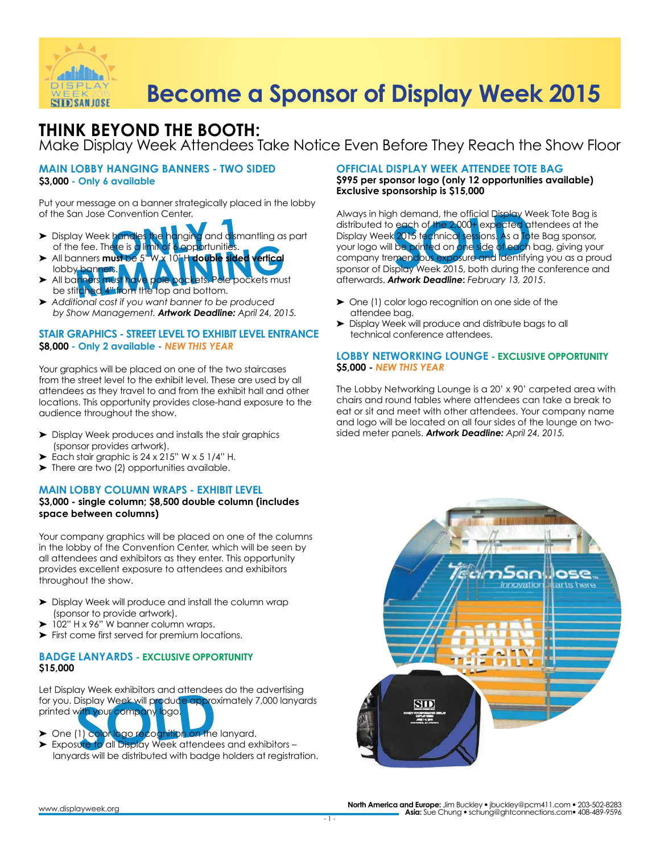

### **THINK BEYOND THE BOOTH:**  Make Display Week Attendees Take Notice Even Before They Reach the Show Floor

### **MAIN LOBBY HANGING BANNERS - TWO SIDED \$3,000 - Only 6 available**

Put your message on a banner strategically placed in the lobby of the San Jose Convention Center.

- **pandles the hanging and dismartion of the distribution of a proportion of the distribution of the distribution**<br>**Ust be** 5" W x 10" H **double sided** ► Display Week handles the hanging and dismantling as part
- of the fee. There is a limit of 6 opportunities.<br>All banners **must be** 5" W x 10<del>" H</del> double sided ▶ All banners **must** be lobby bann
- ► All banners must have pole pockets. Pole pockets must be stitched 4" from the top and bottom.
- ➤ *Additional cost if you want banner to be produced by Show Management. Artwork Deadline: April 24, 2015.*

### **STAIR GRAPHICS - STREET LEVEL TO EXHIBIT LEVEL ENTRANCE \$8,000 - Only 2 available -** *NEW THIS YEAR*

Your graphics will be placed on one of the two staircases from the street level to the exhibit level. These are used by all attendees as they travel to and from the exhibit hall and other locations. This opportunity provides close-hand exposure to the audience throughout the show.

- ➤ Display Week produces and installs the stair graphics (sponsor provides artwork).
- Each stair graphic is  $24 \times 215$ " W  $\times 5$  1/4" H.
- ➤ There are two (2) opportunities available.

### **MAIN LOBBY COLUMN WRAPS - EXHIBIT LEVEL**

### **\$3,000 - single column; \$8,500 double column (includes space between columns)**

Your company graphics will be placed on one of the columns in the lobby of the Convention Center, which will be seen by all attendees and exhibitors as they enter. This opportunity provides excellent exposure to attendees and exhibitors throughout the show.

- ➤ Display Week will produce and install the column wrap (sponsor to provide artwork).
- 102" H x 96" W banner column wraps.
- ➤ First come first served for premium locations.

### **BADGE LANYARDS - EXCLUSIVE OPPORTUNITY \$15,000**

For you. Display Week will produce approximately 7,000 lanyards<br>
printed with your company logo.<br>
> One (1) color logo recognition on the lanyard.<br>
> Exposure to all Display Week attendees and exhibitors – Let Display Week exhibitors and attendees do the advertising printed with your company logo.

- ► One (1) color logo recognition on the lanyard.
- ► Exposure to all Display Week attendees and exhibitors lanyards will be distributed with badge holders at registration.

### **OFFICIAL DISPLAY WEEK ATTENDEE TOTE BAG**

**\$995 per sponsor logo (only 12 opportunities available) Exclusive sponsorship is \$15,000**

In Jose Convention Center. Always in high demand, the official Display Week handles the hanging and dismantling as part<br>
In Week handles the hanging and dismantling as part Display Week 2015 fechnical sessions. As a To<br>
fe Always in high demand, the official Display Week Tote Bag is distributed to each of the 2,000+ expected attendees at the Display Week 2015 technical sessions. As a Tote Bag sponsor, your logo will be printed on <mark>one side of each</mark> bag, giving your company tremendous exposure and identifying you as a proud sponsor of Display Week 2015, both during the conference and afterwards. *Artwork Deadline***:** *February 13, 2015*.

- ➤ One (1) color logo recognition on one side of the attendee bag.
- ➤ Display Week will produce and distribute bags to all technical conference attendees.

### **LOBBY NETWORKING LOUNGE - EXCLUSIVE OPPORTUNITY \$5,000 -** *NEW THIS YEAR*

The Lobby Networking Lounge is a 20' x 90' carpeted area with chairs and round tables where attendees can take a break to eat or sit and meet with other attendees. Your company name and logo will be located on all four sides of the lounge on twosided meter panels. *Artwork Deadline: April 24, 2015.*

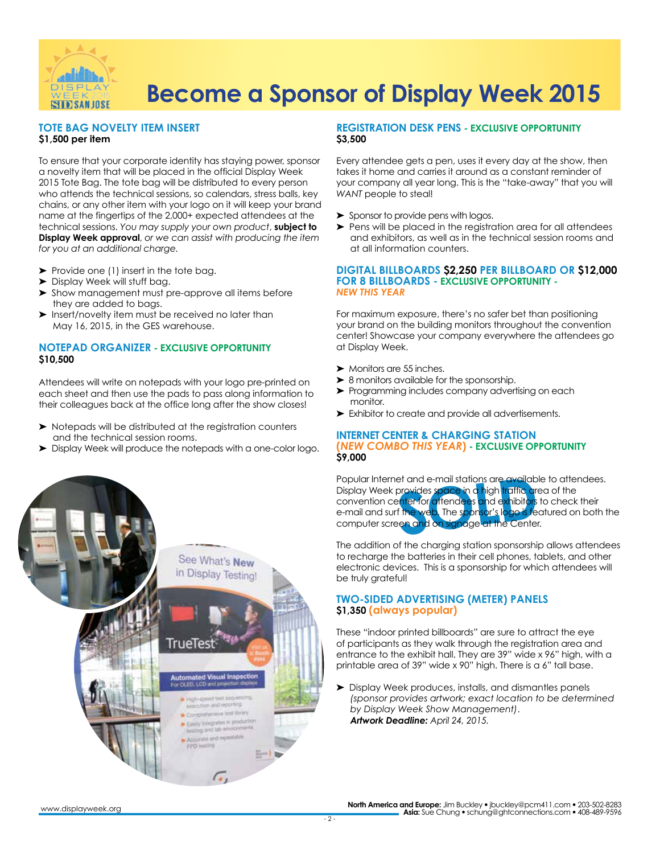

### **TOTE BAG NOVELTY ITEM INSERT \$1,500 per item**

To ensure that your corporate identity has staying power, sponsor a novelty item that will be placed in the official Display Week 2015 Tote Bag. The tote bag will be distributed to every person who attends the technical sessions, so calendars, stress balls, key chains, or any other item with your logo on it will keep your brand name at the fingertips of the 2,000+ expected attendees at the technical sessions. *You may supply your own product*, **subject to Display Week approval**, *or we can assist with producing the item for you at an additional charge.*

- ► Provide one (1) insert in the tote bag.
- ➤ Display Week will stuff bag.
- ➤ Show management must pre-approve all items before they are added to bags.
- ▶ Insert/novelty item must be received no later than May 16, 2015, in the GES warehouse.

### **NOTEPAD ORGANIZER - EXCLUSIVE OPPORTUNITY \$10,500**

Attendees will write on notepads with your logo pre-printed on each sheet and then use the pads to pass along information to their colleagues back at the office long after the show closes!

- ➤ Notepads will be distributed at the registration counters and the technical session rooms.
- ➤ Display Week will produce the notepads with a one-color logo.

### **REGISTRATION DESK PENS - EXCLUSIVE OPPORTUNITY \$3,500**

Every attendee gets a pen, uses it every day at the show, then takes it home and carries it around as a constant reminder of your company all year long. This is the "take-away" that you will *WANT* people to steal!

- ➤ Sponsor to provide pens with logos.
- ➤ Pens will be placed in the registration area for all attendees and exhibitors, as well as in the technical session rooms and at all information counters.

#### **DIGITAL BILLBOARDS \$2,250 PER BILLBOARD OR \$12,000 FOR 8 BILLBOARDS - EXCLUSIVE OPPORTUNITY -**  *NEW THIS YEAR*

For maximum exposure, there's no safer bet than positioning your brand on the building monitors throughout the convention center! Showcase your company everywhere the attendees go at Display Week.

- ➤ Monitors are 55 inches.
- ▶ 8 monitors available for the sponsorship.
- ▶ Programming includes company advertising on each monitor.
- ➤ Exhibitor to create and provide all advertisements.

### **INTERNET CENTER & CHARGING STATION (***NEW COMBO THIS YEAR***) - EXCLUSIVE OPPORTUNITY \$9,000**

et and e-mail stations are availab<br>provides space in a high traffic are<br>shiter for attendees and exhibitors<br>f the web, The sponsor's logo is fe<br>en and on signage at the Cente Popular Internet and e-mail stations are available to attendees. Display Week provides space in a high <mark>traffic a</mark>rea of the convention center for attendees and exhibitors to check their e-mail and surf the web. The sponsor's logo is featured on both the computer screen and on signage at the Center.

The addition of the charging station sponsorship allows attendees to recharge the batteries in their cell phones, tablets, and other electronic devices. This is a sponsorship for which attendees will be truly grateful!

### **TWO-SIDED ADVERTISING (METER) PANELS \$1,350 (always popular)**

These "indoor printed billboards" are sure to attract the eye of participants as they walk through the registration area and entrance to the exhibit hall. They are 39" wide x 96" high, with a printable area of 39" wide x 90" high. There is a 6" tall base.

➤ Display Week produces, installs, and dismantles panels *(sponsor provides artwork; exact location to be determined by Display Week Show Management)*. *Artwork Deadline: April 24, 2015.*



**North America and Europe:** Jim Buckley • jbuckley@pcm411.com • 203-502-8283 **Asia:** Sue Chung • schung@ghtconnections.com • 408-489-9596

 $\overline{\phantom{a}}$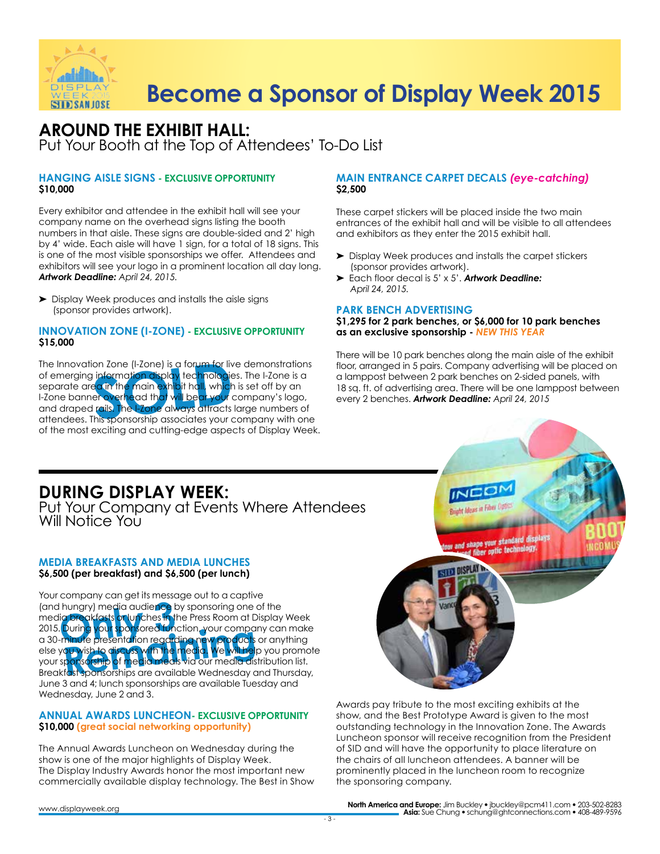

### **AROUND THE EXHIBIT HALL:** Put Your Booth at the Top of Attendees' To-Do List

### **HANGING AISLE SIGNS - EXCLUSIVE OPPORTUNITY \$10,000**

Every exhibitor and attendee in the exhibit hall will see your company name on the overhead signs listing the booth numbers in that aisle. These signs are double-sided and 2' high by 4' wide. Each aisle will have 1 sign, for a total of 18 signs. This is one of the most visible sponsorships we offer. Attendees and exhibitors will see your logo in a prominent location all day long. *Artwork Deadline: April 24, 2015.*

➤ Display Week produces and installs the aisle signs (sponsor provides artwork).

### **INNOVATION ZONE (I-ZONE) - EXCLUSIVE OPPORTUNITY \$15,000**

The Innovation Zone (I-Zone) is a forum for live demonstrations<br>of emerging information display technologies. The I-Zone is a<br>separate area in the main exhibit hall, which is set off by an<br>I-Zone banner overhead that will of emerging information display technologies. The I-Zone is a separate are<mark>a in the main exhibit hall,</mark> which is set off by an I-Zone banner overhead that will bear your company's logo, and draped rails. The I-Zone always attracts large numbers of attendees. This sponsorship associates your company with one of the most exciting and cutting-edge aspects of Display Week.

### **MAIN ENTRANCE CARPET DECALS** *(eye-catching)* **\$2,500**

These carpet stickers will be placed inside the two main entrances of the exhibit hall and will be visible to all attendees and exhibitors as they enter the 2015 exhibit hall.

- ➤ Display Week produces and installs the carpet stickers (sponsor provides artwork).
- ➤ Each floor decal is 5' x 5'. *Artwork Deadline: April 24, 2015.*

### **PARK BENCH ADVERTISING**

**\$1,295 for 2 park benches, or \$6,000 for 10 park benches as an exclusive sponsorship -** *NEW THIS YEAR*

There will be 10 park benches along the main aisle of the exhibit floor, arranged in 5 pairs. Company advertising will be placed on a lamppost between 2 park benches on 2-sided panels, with 18 sq. ft. of advertising area. There will be one lamppost between every 2 benches. *Artwork Deadline: April 24, 2015*

### **DURING DISPLAY WEEK:**

Put Your Company at Events Where Attendees Will Notice You

### **MEDIA BREAKFASTS AND MEDIA LUNCHES \$6,500 (per breakfast) and \$6,500 (per lunch)**

hungry) media audience<br>*Operakfasts* or lunches in the post sponsored function<br>minute presentation regari 2013. Donnig you sponsored unicion, your company cammake<br>a 30-minute presentation regarding new products or anything<br>else you wish to discuss with the media. We will help you promo<br>your sponsorship of media medis via our m Your company can get its message out to a captive (and hungry) media audience by sponsoring one of the media <mark>breakfasts or lun</mark>ches in the Press Room at Display Week 2015. During your sponsored function, your company can make else you wish to discuss with the media. We will help you promote your sponsorship of media meals via our media distribution list. Breakfast sponsorships are available Wednesday and Thursday, June 3 and 4; lunch sponsorships are available Tuesday and Wednesday, June 2 and 3.

### **ANNUAL AWARDS LUNCHEON- EXCLUSIVE OPPORTUNITY \$10,000 (great social networking opportunity)**

The Annual Awards Luncheon on Wednesday during the show is one of the major highlights of Display Week. The Display Industry Awards honor the most important new commercially available display technology. The Best in Show



Awards pay tribute to the most exciting exhibits at the show, and the Best Prototype Award is given to the most outstanding technology in the Innovation Zone. The Awards Luncheon sponsor will receive recognition from the President of SID and will have the opportunity to place literature on the chairs of all luncheon attendees. A banner will be prominently placed in the luncheon room to recognize the sponsoring company.

**North America and Europe:** Jim Buckley • jbuckley@pcm411.com • 203-502-8283 **Asia:** Sue Chung • schung@ghtconnections.com • 408-489-9596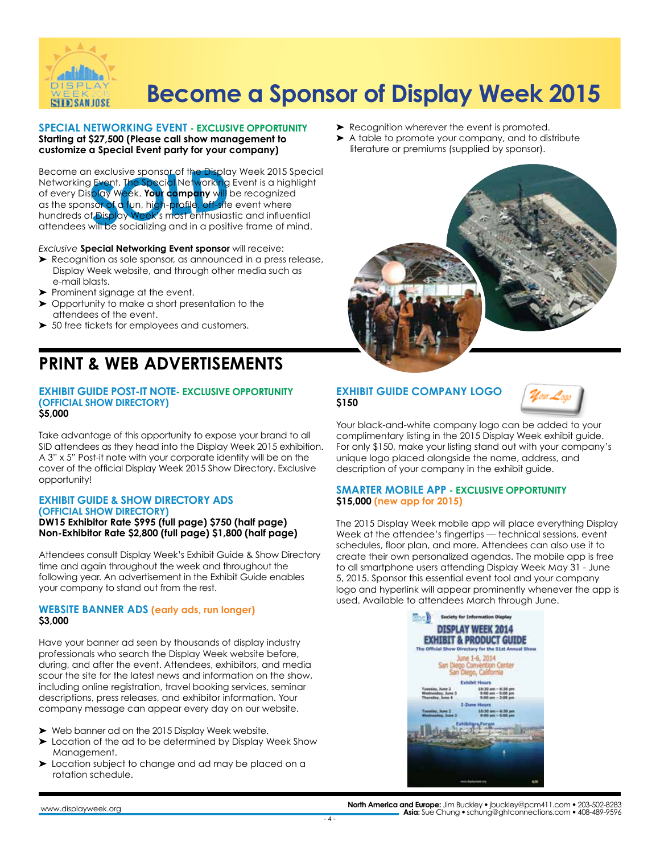

#### **SPECIAL NETWORKING EVENT - EXCLUSIVE OPPORTUNITY Starting at \$27,500 (Please call show management to customize a Special Event party for your company)**

**SOLUSTRE SPONSOC OF the Disploy Frent. The Special Networking<br>Splay Week. Your company will<br>Solay Week. Your company will<br>Social Splay Week's most enthusia:<br>Will be socializing and in a nocil** Become an exclusive sponsor of the Display Week 2015 Special Networking Event. The Special Networking Event is a highlight of every Display Week. **Your company** will be recognized as the sponsor of a fun, high-profile, off-site event where hundreds of Display Week's most enthusiastic and influential attendees will be socializing and in a positive frame of mind.

#### *Exclusive* **Special Networking Event sponsor** will receive:

- ➤ Recognition as sole sponsor, as announced in a press release, Display Week website, and through other media such as e-mail blasts.
- ➤ Prominent signage at the event.
- ➤ Opportunity to make a short presentation to the attendees of the event.
- ➤ 50 free tickets for employees and customers.

### **PRINT & WEB ADVERTISEMENTS**

#### **EXHIBIT GUIDE POST-IT NOTE- EXCLUSIVE OPPORTUNITY (OFFICIAL SHOW DIRECTORY) \$5,000**

Take advantage of this opportunity to expose your brand to all SID attendees as they head into the Display Week 2015 exhibition. A 3" x 5" Post-it note with your corporate identity will be on the cover of the official Display Week 2015 Show Directory. Exclusive opportunity!

#### **EXHIBIT GUIDE & SHOW DIRECTORY ADS (OFFICIAL SHOW DIRECTORY) DW15 Exhibitor Rate \$995 (full page) \$750 (half page)**

**Non-Exhibitor Rate \$2,800 (full page) \$1,800 (half page)**

Attendees consult Display Week's Exhibit Guide & Show Directory time and again throughout the week and throughout the following year. An advertisement in the Exhibit Guide enables your company to stand out from the rest.

### **WEBSITE BANNER ADS (early ads, run longer) \$3,000**

Have your banner ad seen by thousands of display industry professionals who search the Display Week website before, during, and after the event. Attendees, exhibitors, and media scour the site for the latest news and information on the show, including online registration, travel booking services, seminar descriptions, press releases, and exhibitor information. Your company message can appear every day on our website.

- ➤ Web banner ad on the 2015 Display Week website.
- ▶ Location of the ad to be determined by Display Week Show Management.
- ► Location subject to change and ad may be placed on a rotation schedule.
- ► Recognition wherever the event is promoted.
- ➤ A table to promote your company, and to distribute literature or premiums (supplied by sponsor).



### **EXHIBIT GUIDE COMPANY LOGO \$150**



Your black-and-white company logo can be added to your complimentary listing in the 2015 Display Week exhibit guide. For only \$150, make your listing stand out with your company's unique logo placed alongside the name, address, and description of your company in the exhibit guide.

### **SMARTER MOBILE APP - EXCLUSIVE OPPORTUNITY \$15,000 (new app for 2015)**

The 2015 Display Week mobile app will place everything Display Week at the attendee's fingertips — technical sessions, event schedules, floor plan, and more. Attendees can also use it to create their own personalized agendas. The mobile app is free to all smartphone users attending Display Week May 31 - June 5, 2015. Sponsor this essential event tool and your company logo and hyperlink will appear prominently whenever the app is used. Available to attendees March through June.



**North America and Europe:** Jim Buckley • jbuckley@pcm411.com • 203-502-8283 **Asia:** Sue Chung • schung@ghtconnections.com • 408-489-9596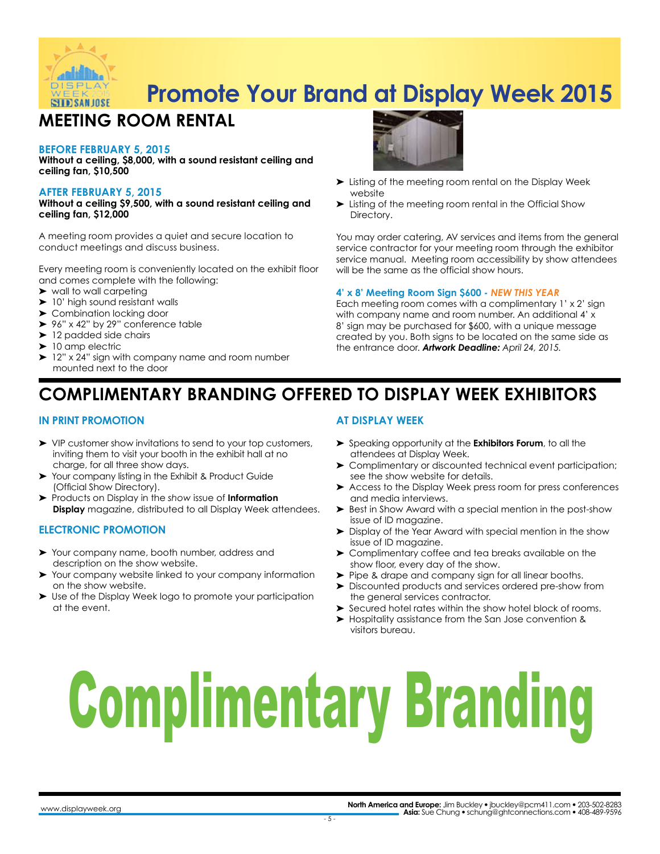

# **Promote Your Brand at Display Week 2015**

## **MEETING ROOM RENTAL**

### **BEFORE FEBRUARY 5, 2015**

**Without a ceiling, \$8,000, with a sound resistant ceiling and ceiling fan, \$10,500**

### **AFTER FEBRUARY 5, 2015**

**Without a ceiling \$9,500, with a sound resistant ceiling and ceiling fan, \$12,000**

A meeting room provides a quiet and secure location to conduct meetings and discuss business.

Every meeting room is conveniently located on the exhibit floor and comes complete with the following:

- ➤ wall to wall carpeting
- ➤ 10' high sound resistant walls
- ➤ Combination locking door
- ▶ 96" x 42" by 29" conference table
- ➤ 12 padded side chairs
- ➤ 10 amp electric
- ➤ 12" x 24" sign with company name and room number mounted next to the door



- ➤ Listing of the meeting room rental on the Display Week website
- ➤ Listing of the meeting room rental in the Official Show Directory.

You may order catering, AV services and items from the general service contractor for your meeting room through the exhibitor service manual. Meeting room accessibility by show attendees will be the same as the official show hours.

### **4' x 8' Meeting Room Sign \$600 -** *NEW THIS YEAR*

Each meeting room comes with a complimentary 1' x 2' sign with company name and room number. An additional 4' x 8' sign may be purchased for \$600, with a unique message created by you. Both signs to be located on the same side as the entrance door. *Artwork Deadline: April 24, 2015.* 

## **COMPLIMENTARY BRANDING OFFERED TO DISPLAY WEEK EXHIBITORS**

### **IN PRINT PROMOTION**

- ➤ VIP customer show invitations to send to your top customers, inviting them to visit your booth in the exhibit hall at no charge, for all three show days.
- ➤ Your company listing in the Exhibit & Product Guide (Official Show Directory).
- ➤ Products on Display in the *show* issue of **Information Display** magazine, distributed to all Display Week attendees.

### **ELECTRONIC PROMOTION**

- ➤ Your company name, booth number, address and description on the show website.
- Your company website linked to your company information on the show website.
- ➤ Use of the Display Week logo to promote your participation at the event.

### **AT DISPLAY WEEK**

- ➤ Speaking opportunity at the **Exhibitors Forum**, to all the attendees at Display Week.
- ➤ Complimentary or discounted technical event participation; see the show website for details.
- ➤ Access to the Display Week press room for press conferences and media interviews.
- ➤ Best in Show Award with a special mention in the post-show issue of ID magazine.
- ➤ Display of the Year Award with special mention in the show issue of ID magazine.
- ➤ Complimentary coffee and tea breaks available on the show floor, every day of the show.
- ➤ Pipe & drape and company sign for all linear booths.
- ➤ Discounted products and services ordered pre-show from the general services contractor.
- ➤ Secured hotel rates within the show hotel block of rooms.
- ➤ Hospitality assistance from the San Jose convention & visitors bureau.

# Complimentary Branding